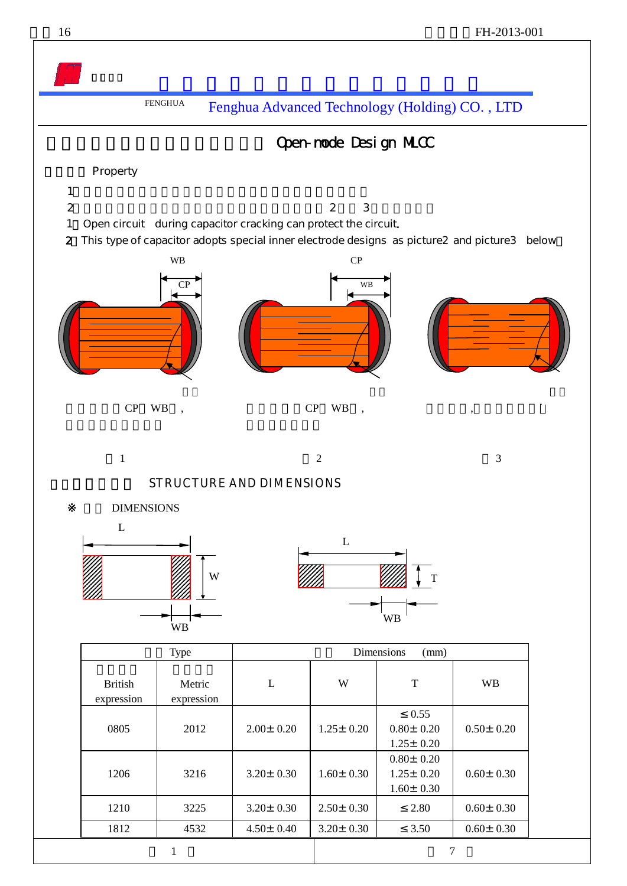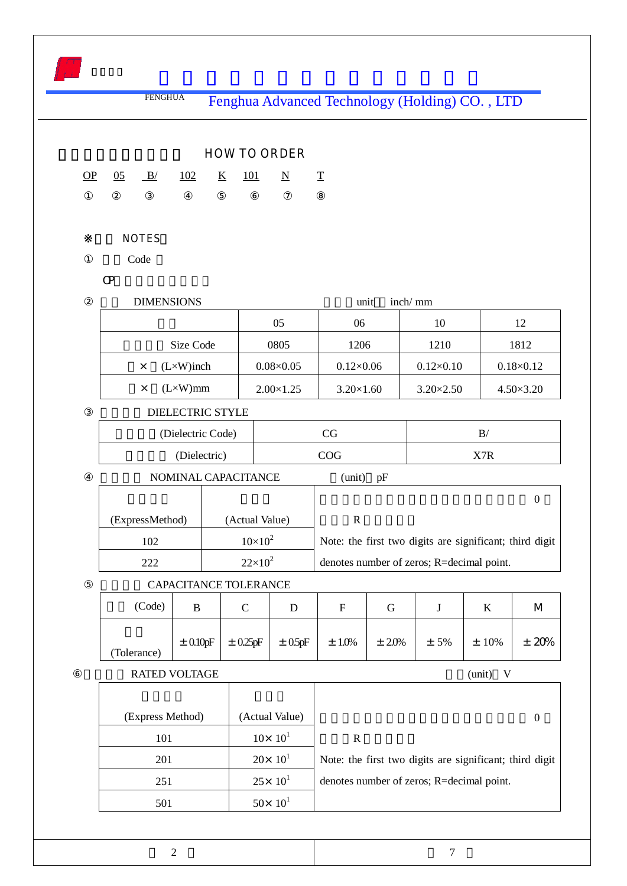|   |                                   | <b>FENGHUA</b>    |                       |                                        |                                                                                                              | Fenghua Advanced Technology (Holding) CO., LTD |            |                    |                                                         |                    |
|---|-----------------------------------|-------------------|-----------------------|----------------------------------------|--------------------------------------------------------------------------------------------------------------|------------------------------------------------|------------|--------------------|---------------------------------------------------------|--------------------|
|   |                                   |                   |                       |                                        | <b>HOW TO ORDER</b>                                                                                          |                                                |            |                    |                                                         |                    |
| Q | $\underline{05}$                  | B/                | 102                   | $\underline{\mathbf{K}}$<br><u>101</u> | $\underline{\mathbf{N}}$                                                                                     | $\underline{\mathbf{T}}$                       |            |                    |                                                         |                    |
|   |                                   |                   |                       |                                        |                                                                                                              |                                                |            |                    |                                                         |                    |
|   |                                   | <b>NOTES</b>      |                       |                                        |                                                                                                              |                                                |            |                    |                                                         |                    |
|   |                                   | Code              |                       |                                        |                                                                                                              |                                                |            |                    |                                                         |                    |
|   | $\mathsf{C}$                      |                   |                       |                                        |                                                                                                              |                                                |            |                    |                                                         |                    |
|   |                                   | <b>DIMENSIONS</b> |                       |                                        |                                                                                                              | unit                                           | inch/mm    |                    |                                                         |                    |
|   |                                   |                   |                       |                                        | 05                                                                                                           | 06                                             |            | 10                 |                                                         | 12                 |
|   |                                   |                   | Size Code             |                                        | 0805                                                                                                         | 1206                                           |            | 1210               |                                                         | 1812               |
|   |                                   | $\times$          | $(L \times W)$ inch   |                                        | $0.08\times0.05$                                                                                             | $0.12\times0.06$                               |            | $0.12 \times 0.10$ |                                                         | $0.18 \times 0.12$ |
|   |                                   | $\times$          | $(L \times W)$ mm     |                                        | $2.00\times1.25$                                                                                             | $3.20\times1.60$                               |            | $3.20 \times 2.50$ |                                                         | $4.50 \times 3.20$ |
|   |                                   |                   | DIELECTRIC STYLE      |                                        |                                                                                                              |                                                |            |                    |                                                         |                    |
|   | (Dielectric Code)<br>(Dielectric) |                   |                       | CG                                     |                                                                                                              |                                                | B/         |                    |                                                         |                    |
|   |                                   |                   |                       |                                        | COG                                                                                                          |                                                | X7R        |                    |                                                         |                    |
|   | NOMINAL CAPACITANCE               |                   |                       |                                        |                                                                                                              | (unit)<br>pF                                   |            |                    |                                                         |                    |
|   |                                   |                   |                       |                                        |                                                                                                              |                                                |            |                    |                                                         | $\boldsymbol{0}$   |
|   |                                   | (ExpressMethod)   |                       |                                        | (Actual Value)<br>$\mathbf R$<br>$10\times10^{2}$<br>Note: the first two digits are significant; third digit |                                                |            |                    |                                                         |                    |
|   |                                   | 102               |                       |                                        |                                                                                                              |                                                |            |                    |                                                         |                    |
|   |                                   | 222               |                       |                                        | $22\times10^2$<br>denotes number of zeros; R=decimal point.                                                  |                                                |            |                    |                                                         |                    |
|   |                                   |                   | CAPACITANCE TOLERANCE |                                        |                                                                                                              |                                                |            |                    |                                                         |                    |
|   |                                   | (Code)            | $\, {\bf B}$          | $\mathsf{C}$                           | ${\bf D}$                                                                                                    | $\mathbf F$                                    | ${\bf G}$  | $\bf J$            | $\bf K$                                                 | M                  |
|   |                                   | (Tolerance)       | $\pm$ 0.10pF          | $\pm$ 0.25pF                           | $\pm$ 0.5pF                                                                                                  | $± 1.0\%$                                      | $\pm$ 2.0% | $± 5\%$            | $±10\%$                                                 | ± 20%              |
|   |                                   |                   | <b>RATED VOLTAGE</b>  |                                        |                                                                                                              |                                                |            |                    | (unit)<br>V                                             |                    |
|   |                                   |                   |                       |                                        |                                                                                                              |                                                |            |                    |                                                         |                    |
|   |                                   |                   | (Express Method)      |                                        | (Actual Value)                                                                                               |                                                |            |                    |                                                         | $\boldsymbol{0}$   |
|   |                                   | 101               |                       |                                        | $10\times 10^1$                                                                                              | $\mathbf R$                                    |            |                    |                                                         |                    |
|   | 201                               |                   |                       |                                        | $20 \times 10^{1}$                                                                                           |                                                |            |                    | Note: the first two digits are significant; third digit |                    |
|   |                                   | 251               |                       |                                        | $25 \times 10^{1}$                                                                                           |                                                |            |                    | denotes number of zeros; R=decimal point.               |                    |
|   |                                   | 501               |                       |                                        | $50 \times 10^{1}$                                                                                           |                                                |            |                    |                                                         |                    |

 $\sim$  7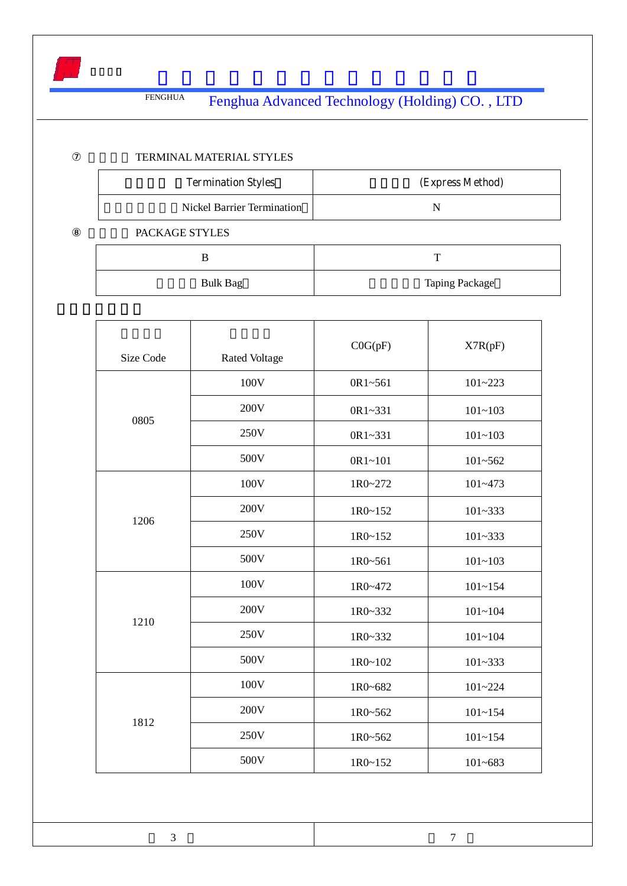

## TERMINAL MATERIAL STYLES

| <b>Termination Styles</b>         | (Express Method)      |  |  |
|-----------------------------------|-----------------------|--|--|
| <b>Nickel Barrier Termination</b> | N                     |  |  |
| PACKAGE STYLES                    |                       |  |  |
| B                                 | т                     |  |  |
| <b>Bulk Bag</b>                   | <b>Taping Package</b> |  |  |

| Size Code | <b>Rated Voltage</b> | COG(pF)     | X7R(pF)     |
|-----------|----------------------|-------------|-------------|
|           | 100V                 | 0R1~561     | $101 - 223$ |
| 0805      | 200V                 | 0R1~331     | $101 - 103$ |
|           | 250V                 | 0R1~331     | $101 - 103$ |
|           | 500V                 | 0R1~101     | $101 - 562$ |
|           | 100V                 | 1R0~272     | $101 - 473$ |
| 1206      | 200V                 | 1R0~152     | $101 - 333$ |
|           | 250V                 | $1R0 - 152$ | $101 - 333$ |
|           | 500V                 | 1R0~561     | $101 - 103$ |
|           | 100V                 | 1R0~472     | $101 - 154$ |
| 1210      | 200V                 | 1R0~332     | $101 - 104$ |
|           | 250V                 | 1R0~332     | $101 - 104$ |
|           | 500V                 | $1R0 - 102$ | $101 - 333$ |
|           | 100V                 | 1R0~682     | $101 - 224$ |
| 1812      | 200V                 | 1R0~562     | $101 - 154$ |
|           | 250V                 | 1R0~562     | $101 - 154$ |
|           | 500V                 | 1R0~152     | $101 - 683$ |

 $\overline{3}$   $\overline{7}$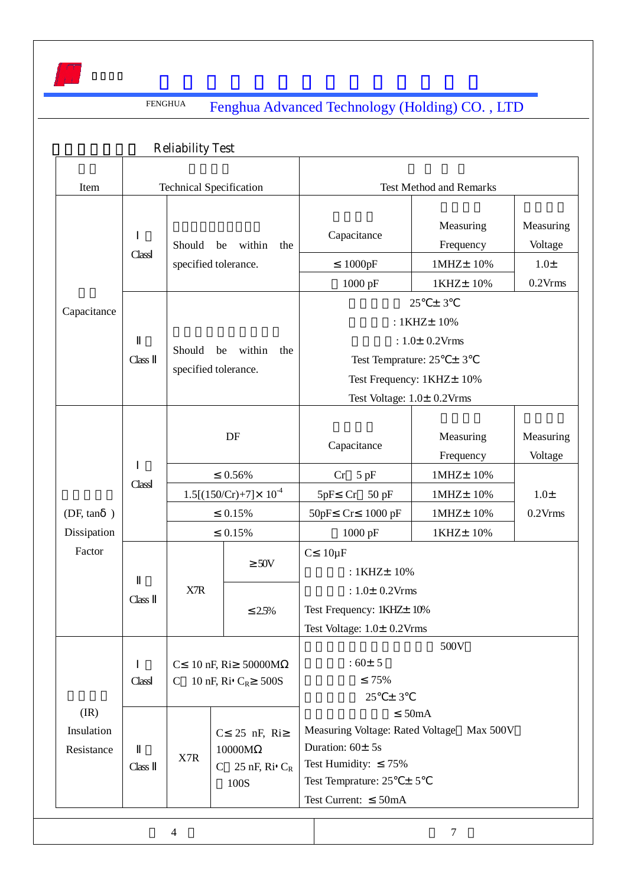

|                                      |                                                                                                                                  | <b>Reliability Test</b>                                                  |                                                                                                                                            |                                                                                                                  |                                                          |                                                |  |  |
|--------------------------------------|----------------------------------------------------------------------------------------------------------------------------------|--------------------------------------------------------------------------|--------------------------------------------------------------------------------------------------------------------------------------------|------------------------------------------------------------------------------------------------------------------|----------------------------------------------------------|------------------------------------------------|--|--|
| Item                                 | <b>Technical Specification</b>                                                                                                   |                                                                          |                                                                                                                                            | <b>Test Method and Remarks</b>                                                                                   |                                                          |                                                |  |  |
|                                      | Should<br>be<br>within<br>the<br>Class<br>specified tolerance.<br>Should<br>within<br>be<br>the<br>Class<br>specified tolerance. |                                                                          |                                                                                                                                            | Capacitance<br>1000pF<br>1000 pF                                                                                 | Measuring<br>Frequency<br>1MHZ± 10%<br>1KHZ± 10%         | Measuring<br>Voltage<br>$1.0\pm$<br>$0.2V$ rms |  |  |
| Capacitance                          |                                                                                                                                  |                                                                          | ± 3<br>25<br>: 1KHZ± 10%<br>: $1.0 \pm 0.2$ Vrms<br>Test Temprature: $25 \pm 3$<br>Test Frequency: 1KHZ+ 10%<br>Test Voltage: 1.0± 0.2Vrms |                                                                                                                  |                                                          |                                                |  |  |
|                                      | Class                                                                                                                            | DF<br>0.56%<br>$1.5[(150/Cr)+7] \times 10^{-4}$                          |                                                                                                                                            | Capacitance<br>$Cr$ 5 pF<br>$Cr$ 50 pF<br>5pF                                                                    | Measuring<br>Frequency<br>1MHz±10%<br>1MHz±10%           | Measuring<br>Voltage<br>$1.0\pm$<br>$0.2V$ rms |  |  |
| (DF, tan<br>$\lambda$<br>Dissipation |                                                                                                                                  | 0.15%<br>0.15%                                                           |                                                                                                                                            | 50pF<br>Cr<br>1000 pF                                                                                            | $1000$ pF<br>1MHZ± 10%<br>1KHZ± 10%                      |                                                |  |  |
| Factor                               | Class                                                                                                                            | X7R                                                                      | $50V$<br>2.5%                                                                                                                              | $C$ 10 $\mu$ F<br>: 1KHZ± 10%<br>: $1.0 \pm 0.2$ Vrms<br>Test Frequency: 1KHZ± 10%<br>Test Voltage: 1.0± 0.2Vrms |                                                          |                                                |  |  |
|                                      | Class                                                                                                                            | $\mathcal{C}$<br>$\mathsf{C}$                                            | 10 nF, Ri 50000M<br>10 nF, Ri C <sub>R</sub> 500S                                                                                          | 500V<br>$:60+5$<br>75%<br>$25 \pm 3$                                                                             |                                                          |                                                |  |  |
| (IR)<br>Insulation<br>Resistance     | Class                                                                                                                            | 25 nF, Ri<br>$\mathbf C$<br>10000M<br>X7R<br>C $25$ nF, Ri $C_R$<br>100S |                                                                                                                                            | Duration: $60 \pm 5s$<br>Test Humidity:<br>Test Temprature: $25 \pm 5$<br>Test Current:<br>50mA                  | 50mA<br>Measuring Voltage: Rated Voltage Max 500V<br>75% |                                                |  |  |
|                                      |                                                                                                                                  | 4                                                                        |                                                                                                                                            |                                                                                                                  | $\tau$                                                   |                                                |  |  |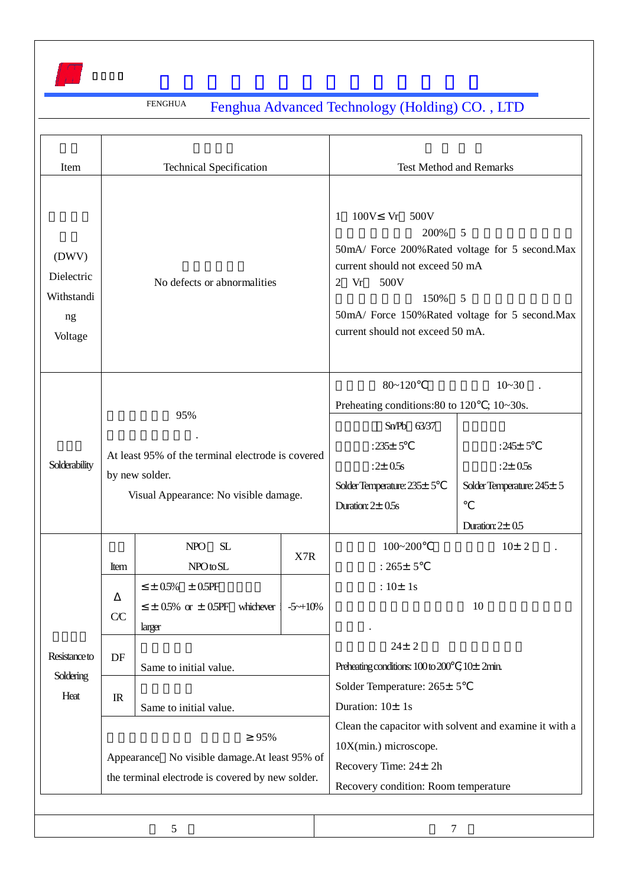

| Item                                               | <b>Technical Specification</b>                                                                                      |                                                                                                                     |   | <b>Test Method and Remarks</b>                                                                                                                                                                                                            |                                                                                                    |  |
|----------------------------------------------------|---------------------------------------------------------------------------------------------------------------------|---------------------------------------------------------------------------------------------------------------------|---|-------------------------------------------------------------------------------------------------------------------------------------------------------------------------------------------------------------------------------------------|----------------------------------------------------------------------------------------------------|--|
| (DWV)<br>Dielectric<br>Withstandi<br>ng<br>Voltage | No defects or abnormalities                                                                                         |                                                                                                                     |   | 100V Vr 500V<br>1<br>200%<br>5<br>50mA/ Force 200%Rated voltage for 5 second.Max<br>current should not exceed 50 mA<br>Vr<br>500V<br>2<br>150%<br>5<br>50mA/ Force 150%Rated voltage for 5 second.Max<br>current should not exceed 50 mA. |                                                                                                    |  |
| Solderability                                      | 95%<br>At least 95% of the terminal electrode is covered<br>by new solder.<br>Visual Appearance: No visible damage. |                                                                                                                     |   | $80 - 120$<br>Preheating conditions:80 to 120 ; 10~30s.<br>$SnPb$ $63/37$<br>: $235 \pm 5$<br>$:2 \pm 0.5s$<br>Solder Temperature: $235 \pm 5$<br>Duration: $2 \pm 0.5$ s                                                                 | $10 - 30$<br>:245 $\pm$ 5<br>$:2 \pm 0.5s$<br>Solder Temperature: 245 ± 5<br>Duration: $2 \pm 0.5$ |  |
|                                                    | Item<br>CC                                                                                                          | <b>NPO</b><br>SL<br>X7R<br>NPOtoSL<br>$\pm 0.5\% \pm 0.5PF$<br>$\pm$ 0.5% or $\pm$ 0.5PF whichever i<br>$-5 - +10%$ |   | $100 - 200$<br>$: 265 \pm 5$<br>: $10 \pm 1s$                                                                                                                                                                                             | $10+2$<br>10                                                                                       |  |
| Resistance to<br>Soldering                         | DF                                                                                                                  | larger<br>Same to initial value.                                                                                    |   | $24 \pm 2$<br>Preheating conditions: $100$ to $200$ ; $10\pm 2$ min.                                                                                                                                                                      |                                                                                                    |  |
| Heat                                               | IR<br>Same to initial value.                                                                                        |                                                                                                                     |   | Solder Temperature: 265± 5<br>Duration: $10 \pm 1s$                                                                                                                                                                                       |                                                                                                    |  |
|                                                    |                                                                                                                     | 95%<br>Appearance No visible damage. At least 95% of<br>the terminal electrode is covered by new solder.            |   | Clean the capacitor with solvent and examine it with a<br>$10X(min.)$ microscope.<br>Recovery Time: 24± 2h<br>Recovery condition: Room temperature                                                                                        |                                                                                                    |  |
|                                                    |                                                                                                                     | 5                                                                                                                   | 7 |                                                                                                                                                                                                                                           |                                                                                                    |  |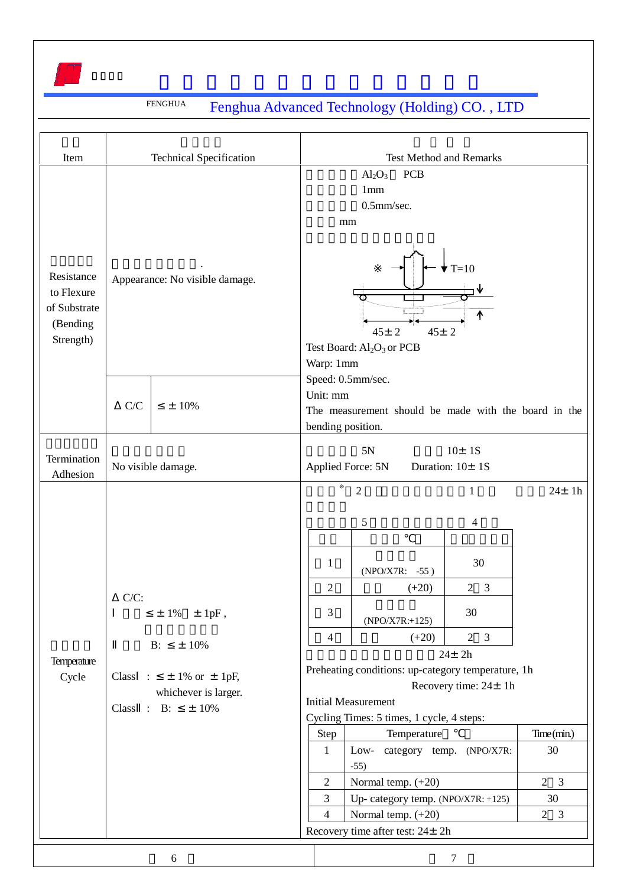

| Item                                                              |                                                                                                                                       | <b>Technical Specification</b> |                                                                                                                                                                                                                                                                                                                                                                                                                         | <b>Test Method and Remarks</b>                                                                                                                                           |  |  |  |  |  |
|-------------------------------------------------------------------|---------------------------------------------------------------------------------------------------------------------------------------|--------------------------------|-------------------------------------------------------------------------------------------------------------------------------------------------------------------------------------------------------------------------------------------------------------------------------------------------------------------------------------------------------------------------------------------------------------------------|--------------------------------------------------------------------------------------------------------------------------------------------------------------------------|--|--|--|--|--|
| Resistance<br>to Flexure<br>of Substrate<br>(Bending<br>Strength) | Appearance: No visible damage.                                                                                                        |                                | $Al_2O_3$<br><b>PCB</b><br>1mm<br>0.5mm/sec.<br>mm<br>$T=10$<br>$45 \pm 2$<br>$45 \pm 2$<br>Test Board: Al <sub>2</sub> O <sub>3</sub> or PCB<br>Warp: 1mm                                                                                                                                                                                                                                                              |                                                                                                                                                                          |  |  |  |  |  |
|                                                                   | C/C                                                                                                                                   | $±10\%$                        |                                                                                                                                                                                                                                                                                                                                                                                                                         | Speed: 0.5mm/sec.<br>Unit: mm<br>The measurement should be made with the board in the<br>bending position.                                                               |  |  |  |  |  |
| Termination<br>Adhesion                                           |                                                                                                                                       | No visible damage.             | 5N<br>$10 \pm 1S$<br>Applied Force: 5N<br>Duration: 10± 1S                                                                                                                                                                                                                                                                                                                                                              |                                                                                                                                                                          |  |  |  |  |  |
| Temperature<br>Cycle                                              | $C/C$ :<br>$\pm$ 1% $\pm$ 1pF,<br>$B$ :<br>$±10\%$<br>$±$ 1% or $±$ 1pF,<br>Class:<br>whichever is larger.<br>Class : B:<br>$\pm$ 10% |                                | 5<br>4<br>30<br>1<br>(NPO/X7R: -55)<br>$\overline{2}$<br>$2 \quad 3$<br>$(+20)$<br>3<br>30<br>$(NPO/X7R: +125)$<br>$2 \quad 3$<br>$\overline{4}$<br>$(+20)$<br>$24 \pm 2h$<br>Preheating conditions: up-category temperature, 1h<br>Recovery time: 24± 1h<br><b>Initial Measurement</b><br>Cycling Times: 5 times, 1 cycle, 4 steps:<br>Temperature<br>Time(min)<br>Step<br>Low-<br>category temp. (NPO/X7R:<br>30<br>1 |                                                                                                                                                                          |  |  |  |  |  |
|                                                                   |                                                                                                                                       |                                | $\boldsymbol{2}$<br>3<br>$\overline{4}$                                                                                                                                                                                                                                                                                                                                                                                 | $-55)$<br>Normal temp. $(+20)$<br>$2 \quad 3$<br>Up-category temp. (NPO/X7R: +125)<br>30<br>Normal temp. $(+20)$<br>$2 \quad 3$<br>Recovery time after test: $24 \pm 2h$ |  |  |  |  |  |

 $\sim$  6  $\sim$  7